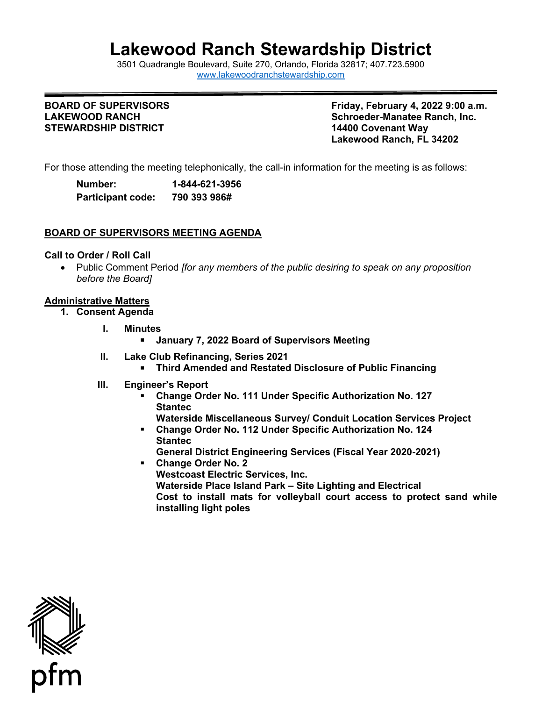# **Lakewood Ranch Stewardship District**

3501 Quadrangle Boulevard, Suite 270, Orlando, Florida 32817; 407.723.5900 [www.lakewoodranchstewardship.com](http://www.lakewoodranchstewardship.com/)

# **STEWARDSHIP DISTRICT**

**BOARD OF SUPERVISORS Friday, February 4, 2022 9:00 a.m. Schroeder-Manatee Ranch, Inc.<br>14400 Covenant Wav Lakewood Ranch, FL 34202** 

For those attending the meeting telephonically, the call-in information for the meeting is as follows:

| Number:                  | 1-844-621-3956 |
|--------------------------|----------------|
| <b>Participant code:</b> | 790 393 986#   |

## **BOARD OF SUPERVISORS MEETING AGENDA**

#### **Call to Order / Roll Call**

• Public Comment Period *[for any members of the public desiring to speak on any proposition before the Board]*

#### **Administrative Matters**

- **1. Consent Agenda**
	- **I. Minutes**
		- **January 7, 2022 Board of Supervisors Meeting**
	- **II. Lake Club Refinancing, Series 2021**
		- **Third Amended and Restated Disclosure of Public Financing**
	- **III. Engineer's Report** 
		- **Change Order No. 111 Under Specific Authorization No. 127 Stantec**
			- **Waterside Miscellaneous Survey/ Conduit Location Services Project**
		- **Change Order No. 112 Under Specific Authorization No. 124 Stantec**

**General District Engineering Services (Fiscal Year 2020-2021) Change Order No. 2**

**Westcoast Electric Services, Inc. Waterside Place Island Park – Site Lighting and Electrical Cost to install mats for volleyball court access to protect sand while installing light poles**